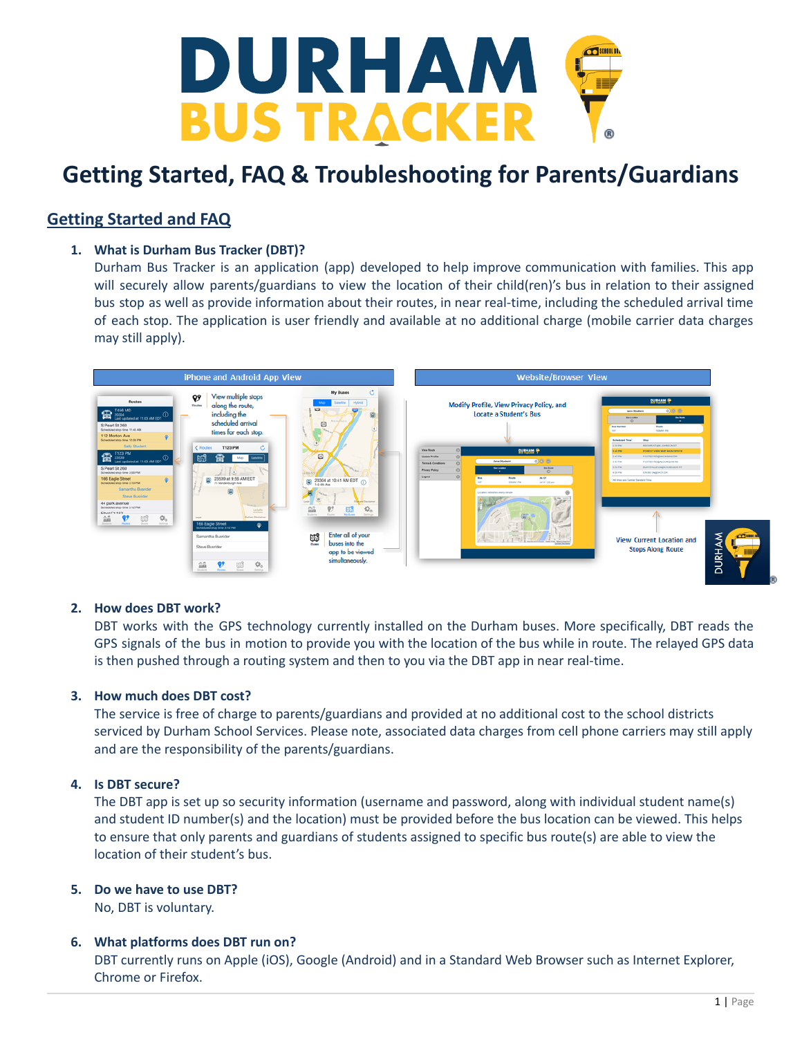

# **Getting Started and FAQ**

# **1. What is Durham Bus Tracker (DBT)?**

Durham Bus Tracker is an application (app) developed to help improve communication with families. This app will securely allow parents/guardians to view the location of their child(ren)'s bus in relation to their assigned bus stop as well as provide information about their routes, in near real-time, including the scheduled arrival time of each stop. The application is user friendly and available at no additional charge (mobile carrier data charges may still apply).



# **2. How does DBT work?**

DBT works with the GPS technology currently installed on the Durham buses. More specifically, DBT reads the GPS signals of the bus in motion to provide you with the location of the bus while in route. The relayed GPS data is then pushed through a routing system and then to you via the DBT app in near real-time.

# **3. How much does DBT cost?**

The service is free of charge to parents/guardians and provided at no additional cost to the school districts serviced by Durham School Services. Please note, associated data charges from cell phone carriers may still apply and are the responsibility of the parents/guardians.

# **4. Is DBT secure?**

The DBT app is set up so security information (username and password, along with individual student name(s) and student ID number(s) and the location) must be provided before the bus location can be viewed. This helps to ensure that only parents and guardians of students assigned to specific bus route(s) are able to view the location of their student's bus.

# **5. Do we have to use DBT?**

No, DBT is voluntary.

# **6. What platforms does DBT run on?**

DBT currently runs on Apple (iOS), Google (Android) and in a Standard Web Browser such as Internet Explorer, Chrome or Firefox.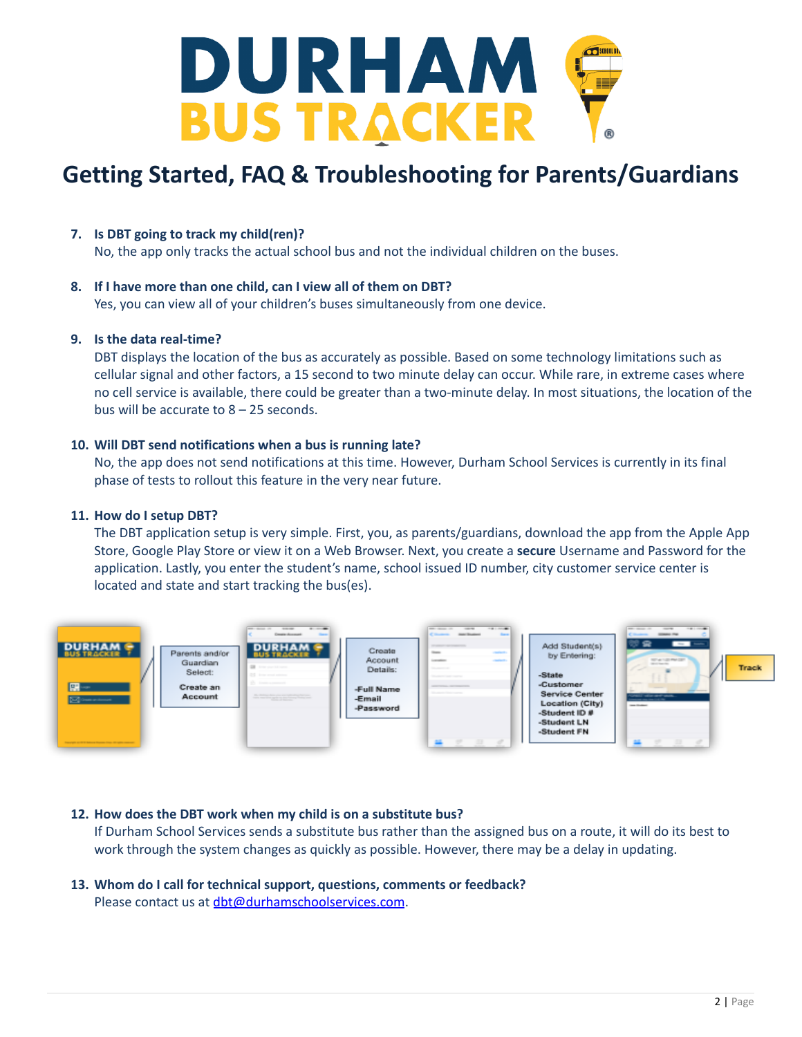

# **7. Is DBT going to track my child(ren)?**

No, the app only tracks the actual school bus and not the individual children on the buses.

#### **8. If I have more than one child, can I view all of them on DBT?**

Yes, you can view all of your children's buses simultaneously from one device.

#### **9. Is the data real-time?**

DBT displays the location of the bus as accurately as possible. Based on some technology limitations such as cellular signal and other factors, a 15 second to two minute delay can occur. While rare, in extreme cases where no cell service is available, there could be greater than a two-minute delay. In most situations, the location of the bus will be accurate to 8 – 25 seconds.

#### **10. Will DBT send notifications when a bus is running late?**

No, the app does not send notifications at this time. However, Durham School Services is currently in its final phase of tests to rollout this feature in the very near future.

#### **11. How do I setup DBT?**

The DBT application setup is very simple. First, you, as parents/guardians, download the app from the Apple App Store, Google Play Store or view it on a Web Browser. Next, you create a **secure** Username and Password for the application. Lastly, you enter the student's name, school issued ID number, city customer service center is located and state and start tracking the bus(es).



#### **12. How does the DBT work when my child is on a substitute bus?**

If Durham School Services sends a substitute bus rather than the assigned bus on a route, it will do its best to work through the system changes as quickly as possible. However, there may be a delay in updating.

#### **13. Whom do I call for technical support, questions, comments or feedback?** Please contact us at [dbt@durhamschoolservices.com](mailto:dbt@durhamschoolservices.com).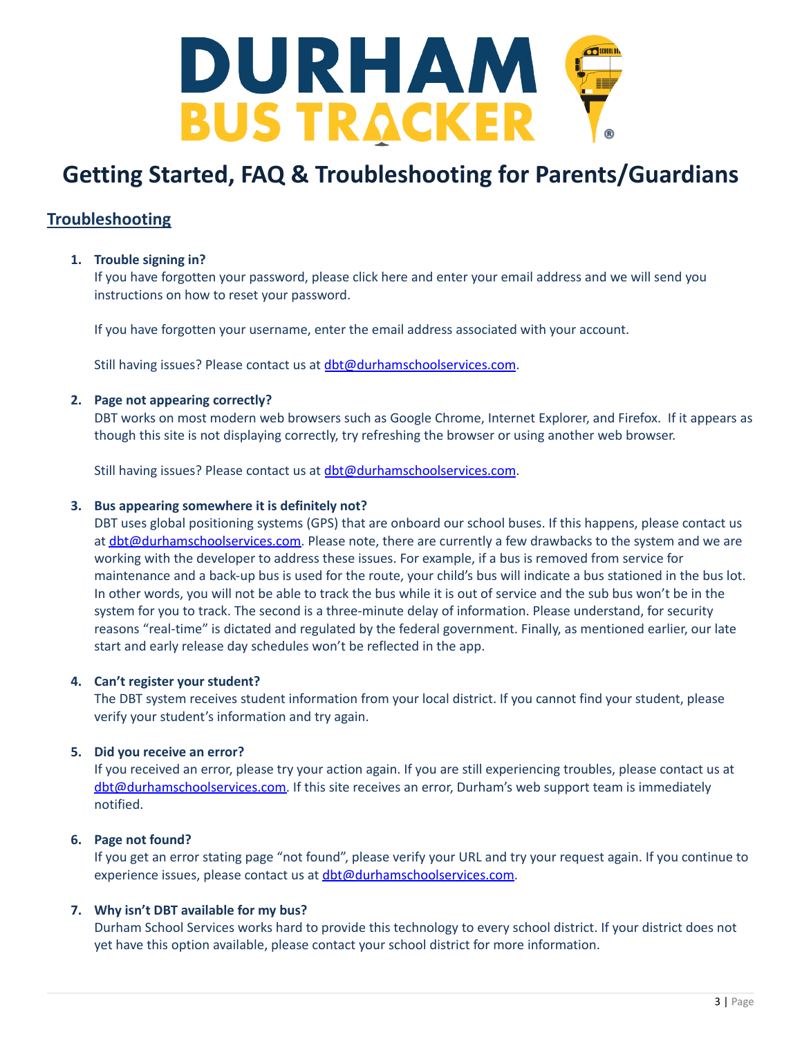

# **Troubleshooting**

# **1. Trouble signing in?**

If you have forgotten your password, please click here and enter your email address and we will send you instructions on how to reset your password.

If you have forgotten your username, enter the email address associated with your account.

Still having issues? Please contact us at  $dbt@durhamschoolserves.com$ .

# **2. Page not appearing correctly?**

DBT works on most modern web browsers such as Google Chrome, Internet Explorer, and Firefox. If it appears as though this site is not displaying correctly, try refreshing the browser or using another web browser.

Still having issues? Please contact us at [dbt@durhamschoolservices.com](mailto:dbt@durhamschoolservices.com).

#### **3. Bus appearing somewhere it is definitely not?**

DBT uses global positioning systems (GPS) that are onboard our school buses. If this happens, please contact us at [dbt@durhamschoolservices.com.](mailto:dbt@durhamschoolservices.com) Please note, there are currently a few drawbacks to the system and we are working with the developer to address these issues. For example, if a bus is removed from service for maintenance and a back-up bus is used for the route, your child's bus will indicate a bus stationed in the bus lot. In other words, you will not be able to track the bus while it is out of service and the sub bus won't be in the system for you to track. The second is a three-minute delay of information. Please understand, for security reasons "real-time" is dictated and regulated by the federal government. Finally, as mentioned earlier, our late start and early release day schedules won't be reflected in the app.

# **4. Can't register your student?**

The DBT system receives student information from your local district. If you cannot find your student, please verify your student's information and try again.

# **5. Did you receive an error?**

If you received an error, please try your action again. If you are still experiencing troubles, please contact us at [dbt@durhamschoolservices.com.](mailto:dbt@durhamschoolservices.com) If this site receives an error, Durham's web support team is immediately notified.

# **6. Page not found?**

If you get an error stating page "not found", please verify your URL and try your request again. If you continue to experience issues, please contact us at *dbt@durhamschoolservices.com*.

# **7. Why isn't DBT available for my bus?**

Durham School Services works hard to provide this technology to every school district. If your district does not yet have this option available, please contact your school district for more information.